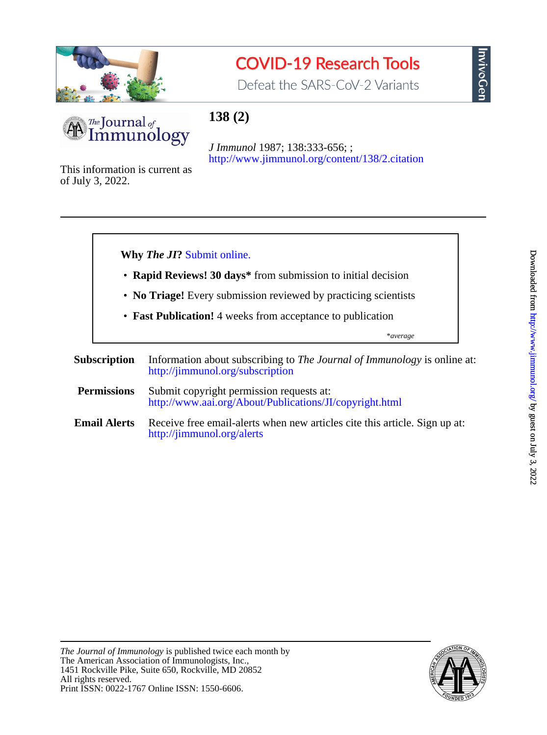

# **COVID-19 Research Tools**

Defeat the SARS-CoV-2 Variants



## **138 (2)**

<http://www.jimmunol.org/content/138/2.citation> *J Immunol* 1987; 138:333-656; ;

of July 3, 2022. This information is current as





nvivoGer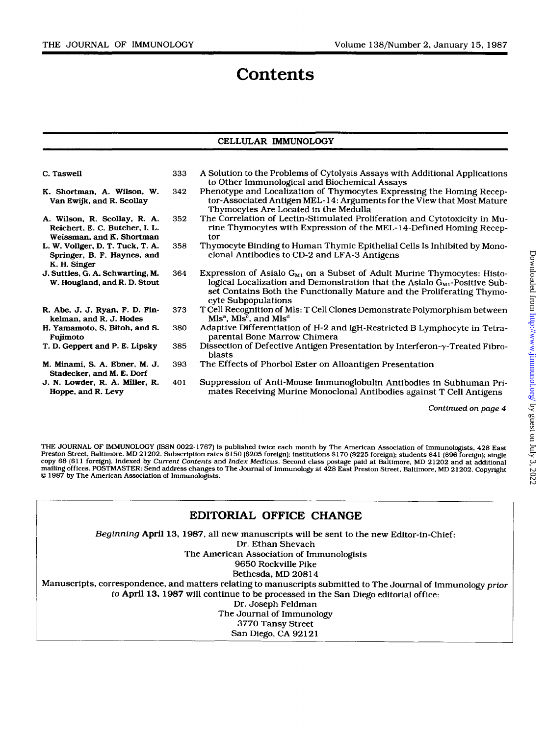### **Contents**

#### **CELLULAR IMMUNOLOGY**

| C. Taswell                                                                                  | 333 | A Solution to the Problems of Cytolysis Assays with Additional Applications<br>to Other Immunological and Biochemical Assays                                                                                                                                    |
|---------------------------------------------------------------------------------------------|-----|-----------------------------------------------------------------------------------------------------------------------------------------------------------------------------------------------------------------------------------------------------------------|
| K. Shortman, A. Wilson, W.<br>Van Ewijk, and R. Scollay                                     | 342 | Phenotype and Localization of Thymocytes Expressing the Homing Recep-<br>tor-Associated Antigen MEL-14: Arguments for the View that Most Mature<br>Thymocytes Are Located in the Medulla                                                                        |
| A. Wilson, R. Scollay, R. A.<br>Reichert, E. C. Butcher, I. L.<br>Weissman, and K. Shortman | 352 | The Correlation of Lectin-Stimulated Proliferation and Cytotoxicity in Mu-<br>rine Thymocytes with Expression of the MEL-14-Defined Homing Recep-<br>tor                                                                                                        |
| L. W. Vollger, D. T. Tuck, T. A.<br>Springer, B. F. Haynes, and<br>K. H. Singer             | 358 | Thymocyte Binding to Human Thymic Epithelial Cells Is Inhibited by Mono-<br>clonal Antibodies to CD-2 and LFA-3 Antigens                                                                                                                                        |
| J. Suttles, G. A. Schwarting, M.<br>W. Hougland, and R. D. Stout                            | 364 | Expression of Asialo $G_{M1}$ on a Subset of Adult Murine Thymocytes: Histo-<br>logical Localization and Demonstration that the Asialo $G_{M1}$ -Positive Sub-<br>set Contains Both the Functionally Mature and the Proliferating Thymo-<br>cyte Subpopulations |
| R. Abe, J. J. Ryan, F. D. Fin-<br>kelman, and R. J. Hodes                                   | 373 | T Cell Recognition of Mls: T Cell Clones Demonstrate Polymorphism between<br>Mls <sup>a</sup> , Mls <sup>c</sup> , and Mls <sup>d</sup>                                                                                                                         |
| H. Yamamoto, S. Bitoh, and S.<br>Fujimoto                                                   | 380 | Adaptive Differentiation of H-2 and IgH-Restricted B Lymphocyte in Tetra-<br>parental Bone Marrow Chimera                                                                                                                                                       |
| T. D. Geppert and P. E. Lipsky                                                              | 385 | Dissection of Defective Antigen Presentation by Interferon- $\gamma$ -Treated Fibro-<br><b>blasts</b>                                                                                                                                                           |
| M. Minami, S. A. Ebner, M. J.<br>Stadecker, and M. E. Dorf                                  | 393 | The Effects of Phorbol Ester on Alloantigen Presentation                                                                                                                                                                                                        |
| J. N. Lowder, R. A. Miller, R.<br>Hoppe, and R. Levy                                        | 401 | Suppression of Anti-Mouse Immunoglobulin Antibodies in Subhuman Pri-<br>mates Receiving Murine Monoclonal Antibodies against T Cell Antigens                                                                                                                    |

*Continued on page 4* 

**THE JOURNAL OF IMMUNOLOGY (ISSN 0022-1767)** *is* **published twice each month by The American Association of Immunologists, 428 East**  Preston Street, Baltimore, MD 21202. Subscription rates \$150 (\$205 foreign); institutions \$170 (\$225 foreign); students \$41 (\$96 foreign); single<br>copy \$8 (\$11 foreign). Indexed by Current Contents and Index Medicus. Second *0* **1987 by The American Association of Immunologists. mailing offices. POSTMASTER: Send address changes to The Journal of Immunology at 428 East Preston Street, Baltimore, MD 21202. Copyright** 

| EDITORIAL OFFICE CHANGE                                                                                       |
|---------------------------------------------------------------------------------------------------------------|
| Beginning April 13, 1987, all new manuscripts will be sent to the new Editor-in-Chief:                        |
| Dr. Ethan Shevach                                                                                             |
| The American Association of Immunologists                                                                     |
| 9650 Rockville Pike                                                                                           |
| Bethesda. MD 20814                                                                                            |
| Manuscripts, correspondence, and matters relating to manuscripts submitted to The Journal of Immunology prior |
| to April 13, 1987 will continue to be processed in the San Diego editorial office:                            |
| Dr. Joseph Feldman                                                                                            |
| The Journal of Immunology                                                                                     |
| 3770 Tansy Street                                                                                             |
| San Diego, CA 92121                                                                                           |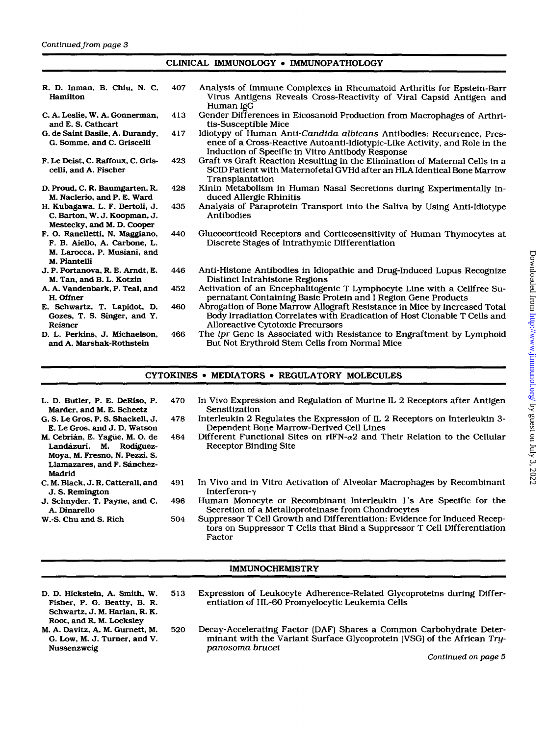### CLINICAL IMMUNOLOGY . IMMUNOPATHOLOGY

| R. D. Inman, B. Chiu, N. C.<br>Hamilton                                                                       | 407 | Analysis of Immune Complexes in Rheumatoid Arthritis for Epstein-Barr<br>Virus Antigens Reveals Cross-Reactivity of Viral Capsid Antigen and<br>Human IgG                                               |
|---------------------------------------------------------------------------------------------------------------|-----|---------------------------------------------------------------------------------------------------------------------------------------------------------------------------------------------------------|
| C. A. Leslie, W. A. Gonnerman,<br>and E. S. Cathcart                                                          | 413 | Gender Differences in Eicosanoid Production from Macrophages of Arthri-<br>tis-Susceptible Mice                                                                                                         |
| G. de Saint Basile, A. Durandy,<br>G. Somme, and C. Griscelli                                                 | 417 | Idiotypy of Human Anti-Candida albicans Antibodies: Recurrence, Pres-<br>ence of a Cross-Reactive Autoanti-Idiotypic-Like Activity, and Role in the<br>Induction of Specific in Vitro Antibody Response |
| F. Le Deist, C. Raffoux, C. Gris-<br>celli, and A. Fischer                                                    | 423 | Graft vs Graft Reaction Resulting in the Elimination of Maternal Cells in a<br>SCID Patient with Maternofetal GVHd after an HLA Identical Bone Marrow<br>Transplantation                                |
| D. Proud, C. R. Baumgarten, R.<br>M. Naclerio, and P. E. Ward                                                 | 428 | Kinin Metabolism in Human Nasal Secretions during Experimentally In-<br>duced Allergic Rhinitis                                                                                                         |
| H. Kubagawa, L. F. Bertoli, J.<br>C. Barton, W. J. Koopman, J.<br>Mestecky, and M. D. Cooper                  | 435 | Analysis of Paraprotein Transport into the Saliva by Using Anti-Idiotype<br>Antibodies                                                                                                                  |
| F. O. Ranelletti, N. Maggiano,<br>F. B. Aiello, A. Carbone, L.<br>M. Larocca, P. Musiani, and<br>M. Piantelli | 440 | Glucocorticoid Receptors and Corticosensitivity of Human Thymocytes at<br>Discrete Stages of Intrathymic Differentiation                                                                                |
| J. P. Portanova, R. E. Arndt, E.<br>M. Tan, and B. L. Kotzin                                                  | 446 | Anti-Histone Antibodies in Idiopathic and Drug-Induced Lupus Recognize<br>Distinct Intrahistone Regions                                                                                                 |
| A. A. Vandenbark, P. Teal, and<br>H. Offner                                                                   | 452 | Activation of an Encephalitogenic T Lymphocyte Line with a Cellfree Su-<br>pernatant Containing Basic Protein and I Region Gene Products                                                                |
| E. Schwartz, T. Lapidot, D.<br>Gozes, T. S. Singer, and Y.<br>Reisner                                         | 460 | Abrogation of Bone Marrow Allograft Resistance in Mice by Increased Total<br>Body Irradiation Correlates with Eradication of Host Clonable T Cells and<br><b>Alloreactive Cytotoxic Precursors</b>      |
| D. L. Perkins, J. Michaelson,<br>and A. Marshak-Rothstein                                                     | 466 | The lpr Gene Is Associated with Resistance to Engraftment by Lymphoid<br>But Not Erythroid Stem Cells from Normal Mice                                                                                  |

#### CYTOKINES • MEDIATORS • REGULATORY MOLECULES

| L. D. Butler, P. E. DeRiso, P.<br>Marder, and M. E. Scheetz            | 470 | In Vivo Expression and Regulation of Murine IL 2 Receptors after Antigen<br>Sensitization                                                                       |
|------------------------------------------------------------------------|-----|-----------------------------------------------------------------------------------------------------------------------------------------------------------------|
| G. S. Le Gros, P. S. Shackell, J.<br>E. Le Gros. and J. D. Watson      | 478 | Interleukin 2 Regulates the Expression of IL 2 Receptors on Interleukin 3-<br>Dependent Bone Marrow-Derived Cell Lines                                          |
| M. Cebrián, E. Yagüe, M. O. de<br>Landázuri, M. Rodíguez-              | 484 | Different Functional Sites on $rIFN-\alpha 2$ and Their Relation to the Cellular<br><b>Receptor Binding Site</b>                                                |
| Moya, M. Fresno, N. Pezzi, S.<br>Llamazares, and F. Sánchez-<br>Madrid |     |                                                                                                                                                                 |
| C. M. Black, J. R. Catterall, and<br>J. S. Remington                   | 491 | In Vivo and in Vitro Activation of Alveolar Macrophages by Recombinant<br>Interferon- $\gamma$                                                                  |
| J. Schnyder, T. Payne, and C.<br>A. Dinarello                          | 496 | Human Monocyte or Recombinant Interleukin 1's Are Specific for the<br>Secretion of a Metalloproteinase from Chondrocytes                                        |
| W.-S. Chu and S. Rich                                                  | 504 | Suppressor T Cell Growth and Differentiation: Evidence for Induced Recep-<br>tors on Suppressor T Cells that Bind a Suppressor T Cell Differentiation<br>Factor |

#### IMMUNOCHEMISTRY

- D. D. Hickstein, **A.** Smith, W. **513** Expression of Leukocyte Adherence-Related Glycoproteins during Differ-Schwartz, **J.** M. Harlan, R. K. Root. and R. M. Locksley<br>M. A. Davitz, A. M. Gurnett, M.
	- M. **A. Davitz, A. M. Gurnett, M.** 520 Decay-Accelerating Factor (DAF) Shares a Common Carbohydrate Deter-<br>G. Low, M. J. Turner, and V. minant with the Variant Surface Glycoprotein (VSG) of the African Try-G. Low, M. J. Turner, and V. **minant with the Variant Surface Glycoprotein** (VSG) of the African Try-<br>panosoma brucei

entiation of HL-60 Promyelocytic Leukemia Cells

- Nussenzweig panosoma brucei *Continued on page <sup>5</sup>*
	-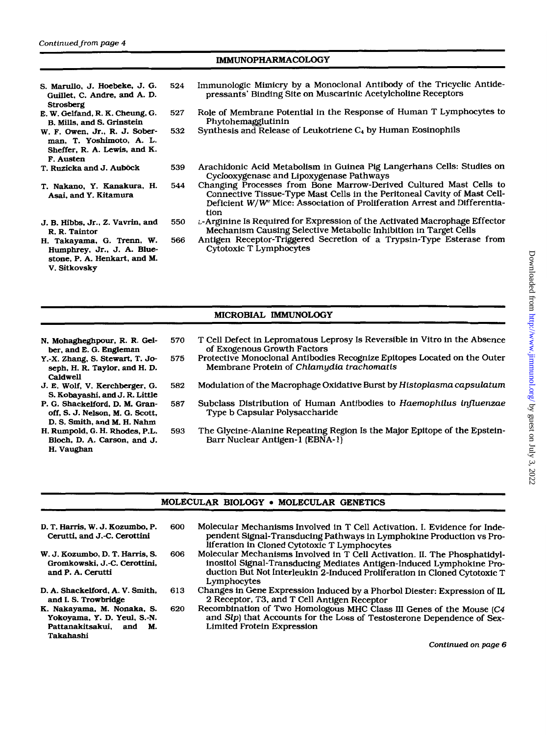#### IMMUNOPHARMACOLOGY

- *S.* **Marullo,** J. Hoebeke, J. *G.*  Guillet. C. Andre, and A. **D.**  Strosberg
- E. **W.** Gelfand, R. K. Cheung, *G.*  **B. Mills,** and *S.* Grinstein
- **W. F.** Owen, Jr., R. J. Sober**man,** T. Yoshimoto, A. L. Sheffer. R. A. **Lewis,** and **K. F.** Austen
- T. Ruzicka and J. Auböck
- T. Nakano. Y. Kanakura. H. Asai, and Y. Kitamura
- J. **B.** Hibbs. Jr.. *2.* Vavrin. and R. R. Taintor
- H. Takayama. G. Trenn. W. Humphrey. Jr., J. A. **Blue**stone, **P.** A. Henkart. and **M.**  V. Sitkovsky
- **524** Immunologic Mimicry by a Monoclonal Antibody of the Tricyclic Antidepressants' Binding Site on Muscarinic Acetylcholine Receptors
- **527** Role of Membrane Potential in the Response of Human T Lymphocytes to Phytohemagglutinin
- **532** Synthesis and Release of Leukotriene C4 by Human Eosinophils
- **539** Arachidonic Acid Metabolism in Guinea Pig Langerhans Cells: Studies on Cyclooxygenase and Lipoxygenase Pathways
- **544** Changing Processes from Bone Marrow-Derived Cultured Mast Cells to Connective Tissue-Type Mast Cells in the Peritoneal Cavity of Mast Cell-Deficient **W/W** Mice: Association of Proliferation Arrest and Differentiation
- **550** L-Arginine Is Required for Expression **of** the Activated Macrophage Effector Mechanism Causing Selective Metabolic Inhibition in Target Cells
- *566* Antigen Receptor-Triggered Secretion of a Trypsin-Type Esterase from Cytotoxic T Lymphocytes

#### MICROBIAL IMMUNOLOGY

- N. Mohagheghpour, R. R. **Gel**ber. and E. *G.* Engleman
- Y.-X. Zhang, *S.* Stewart, T. Joseph, H. R. Taylor, and H. **D.**  Caldwell
- J. **E.** Wolf, V. Kerchberger, *G. S.* Kobayashi. and J. **R.** Little
- P. G. Shackelford, **D.** M. Granoff, *S.* J. Nelson. **M.** G. Scott, **D.** *S.* **Smith,** and M. H. Nahm
- H. Rumpold, 0. H. **Rhodes,** P.L. Bloch, **D.** A. Carson, and J. H. Vaughan
- **570** T Cell Defect in Lepromatous Leprosy Is Reversible in Vitro in the Absence **of** Exogenous Growth Factors
- **575** Protective Monoclonal Antibodies Recognize Epitopes Located on the Outer Membrane Protein of *Chlamydia trachornatis*
- **582** Modulation of the Macrophage Oxidative Burst by *Histoplasma capsulatum*
- **587** Subclass Distribution of Human Antibodies to *Haemophilus influenzae*  Type b Capsular Polysaccharide
- **593** The Glycine-Alanine Repeating Region Is the Major Epitope of the Epstein-Barr Nuclear Antigen- **1** (EBNA- **1)**

#### **MOLECULAR BIOLOGY . MOLECULAR GENETICS**

- **D.** T. **Harris, W.** J. **Kozumbo, P.**  Cerutti, and J.-C. Cerottini
- **W.** J. **Kozumbo, D. T.** Harris. *S.*  Gromkowski, J.-C. Cerottini, and P. A. Cerutti
- **D.** A. Shackelford, A. **V. Smith,**  and **I.** *S.* Trowbridge
- K. Nakayama. M. Nonaka, *S.*  Yokoyama. Y. **D.** Yeul, S.-N. Pattanakitsakui, and M. Takahashi
- 600 Molecular Mechanisms Involved in T Cell Activation. **I.** Evidence for Independent Signal-Transducing Pathways in Lymphokine Production vs Proliferation in Cloned Cytotoxic T Lymphocytes
- *606* Molecular Mechanisms Involved in T Cell Activation. 11. The Phosphatidylinositol Signal-Transducing Mediates Antigen-Induced Lymphokine Production But Not Interleukin 2-Induced Proliferation in Cloned Cytotoxic T Lymphocytes
- **6 13** Changes in Gene Expression Induced by a Phorbol Diester: Expression of IL 2 Receptor, T3, and T Cell Antigen Receptor
- *620* Recombination of Two Homologous MHC Class **I11** Genes of the Mouse **(C4**  and *Slp)* that Accounts for the Loss of Testosterone Dependence of Sex-Limited Protein Expression